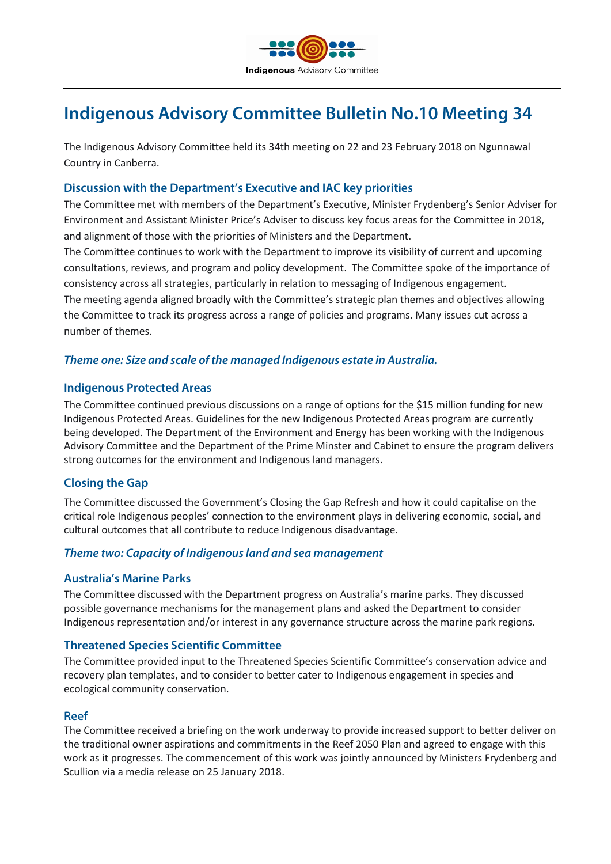

# **Indigenous Advisory Committee Bulletin No.10 Meeting 34**

The Indigenous Advisory Committee held its 34th meeting on 22 and 23 February 2018 on Ngunnawal Country in Canberra.

# **Discussion with the Department's Executive and IAC key priorities**

The Committee met with members of the Department's Executive, Minister Frydenberg's Senior Adviser for Environment and Assistant Minister Price's Adviser to discuss key focus areas for the Committee in 2018, and alignment of those with the priorities of Ministers and the Department.

The Committee continues to work with the Department to improve its visibility of current and upcoming consultations, reviews, and program and policy development. The Committee spoke of the importance of consistency across all strategies, particularly in relation to messaging of Indigenous engagement. The meeting agenda aligned broadly with the Committee's strategic plan themes and objectives allowing the Committee to track its progress across a range of policies and programs. Many issues cut across a number of themes.

# *Theme one: Size and scale of the managed Indigenous estate in Australia.*

## **Indigenous Protected Areas**

The Committee continued previous discussions on a range of options for the \$15 million funding for new Indigenous Protected Areas. Guidelines for the new Indigenous Protected Areas program are currently being developed. The Department of the Environment and Energy has been working with the Indigenous Advisory Committee and the Department of the Prime Minster and Cabinet to ensure the program delivers strong outcomes for the environment and Indigenous land managers.

# **Closing the Gap**

The Committee discussed the Government's Closing the Gap Refresh and how it could capitalise on the critical role Indigenous peoples' connection to the environment plays in delivering economic, social, and cultural outcomes that all contribute to reduce Indigenous disadvantage.

## *Theme two: Capacity of Indigenous land and sea management*

## **Australia's Marine Parks**

The Committee discussed with the Department progress on Australia's marine parks. They discussed possible governance mechanisms for the management plans and asked the Department to consider Indigenous representation and/or interest in any governance structure across the marine park regions.

## **Threatened Species Scientific Committee**

The Committee provided input to the Threatened Species Scientific Committee's conservation advice and recovery plan templates, and to consider to better cater to Indigenous engagement in species and ecological community conservation.

#### **Reef**

The Committee received a briefing on the work underway to provide increased support to better deliver on the traditional owner aspirations and commitments in the Reef 2050 Plan and agreed to engage with this work as it progresses. The commencement of this work was jointly announced by Ministers Frydenberg and Scullion via a media release on 25 January 2018.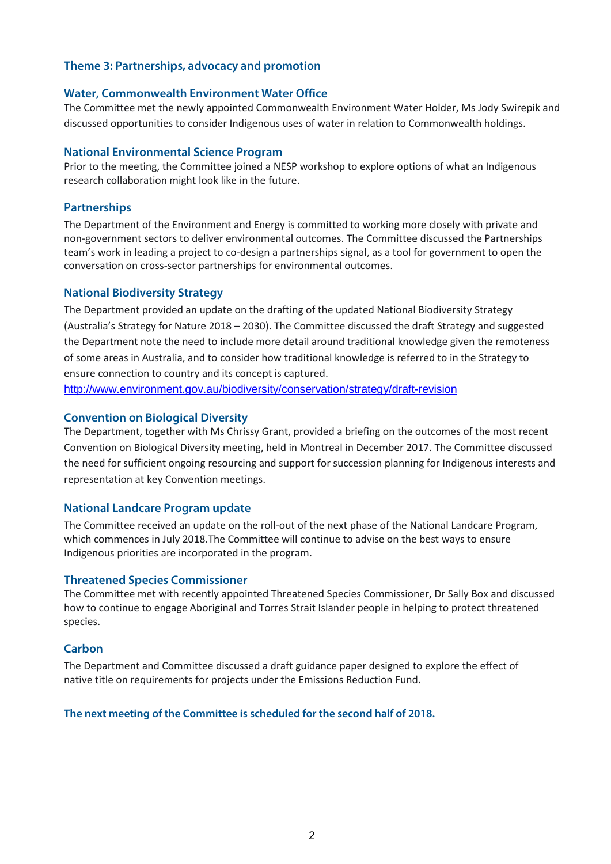# **Theme 3: Partnerships, advocacy and promotion**

#### **Water, Commonwealth Environment Water Office**

The Committee met the newly appointed Commonwealth Environment Water Holder, Ms Jody Swirepik and discussed opportunities to consider Indigenous uses of water in relation to Commonwealth holdings.

#### **National Environmental Science Program**

Prior to the meeting, the Committee joined a NESP workshop to explore options of what an Indigenous research collaboration might look like in the future.

### **Partnerships**

The Department of the Environment and Energy is committed to working more closely with private and non-government sectors to deliver environmental outcomes. The Committee discussed the Partnerships team's work in leading a project to co-design a partnerships signal, as a tool for government to open the conversation on cross-sector partnerships for environmental outcomes.

#### **National Biodiversity Strategy**

The Department provided an update on the drafting of the updated National Biodiversity Strategy (Australia's Strategy for Nature 2018 – 2030). The Committee discussed the draft Strategy and suggested the Department note the need to include more detail around traditional knowledge given the remoteness of some areas in Australia, and to consider how traditional knowledge is referred to in the Strategy to ensure connection to country and its concept is captured.

<http://www.environment.gov.au/biodiversity/conservation/strategy/draft-revision>

#### **Convention on Biological Diversity**

The Department, together with Ms Chrissy Grant, provided a briefing on the outcomes of the most recent Convention on Biological Diversity meeting, held in Montreal in December 2017. The Committee discussed the need for sufficient ongoing resourcing and support for succession planning for Indigenous interests and representation at key Convention meetings.

#### **National Landcare Program update**

The Committee received an update on the roll-out of the next phase of the National Landcare Program, which commences in July 2018.The Committee will continue to advise on the best ways to ensure Indigenous priorities are incorporated in the program.

#### **Threatened Species Commissioner**

The Committee met with recently appointed Threatened Species Commissioner, Dr Sally Box and discussed how to continue to engage Aboriginal and Torres Strait Islander people in helping to protect threatened species.

#### **Carbon**

The Department and Committee discussed a draft guidance paper designed to explore the effect of native title on requirements for projects under the Emissions Reduction Fund.

#### **The next meeting of the Committee is scheduled for the second half of 2018.**